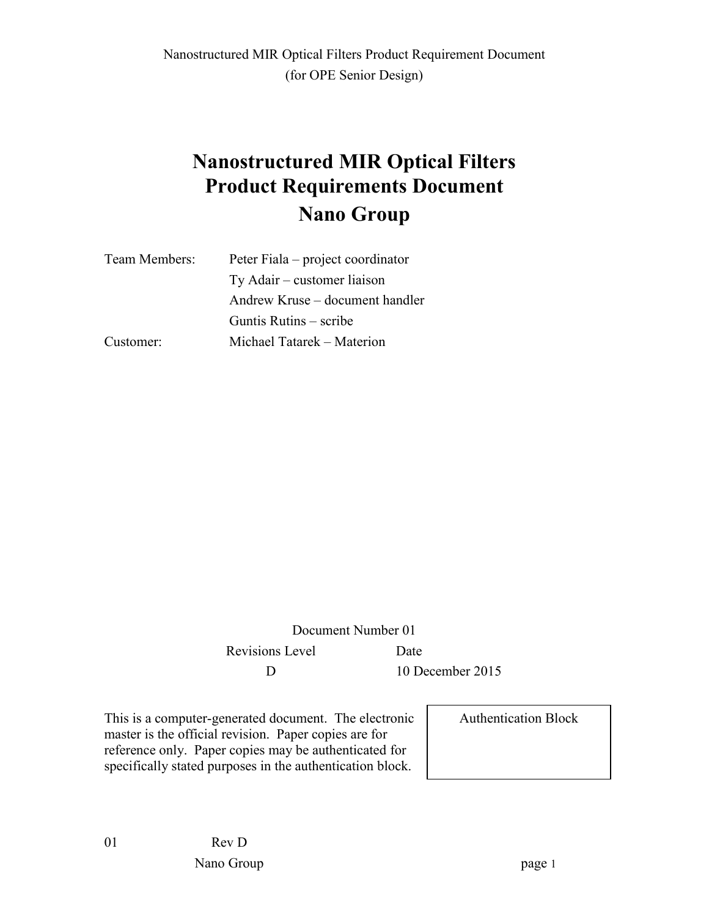# **Nanostructured MIR Optical Filters Product Requirements Document Nano Group**

| Peter Fiala - project coordinator |
|-----------------------------------|
| Ty Adair – customer liaison       |
| Andrew Kruse – document handler   |
| Guntis Rutins – scribe            |
| Michael Tatarek – Materion        |
|                                   |

Document Number 01 Revisions Level Date D 10 December 2015

This is a computer-generated document. The electronic master is the official revision. Paper copies are for reference only. Paper copies may be authenticated for specifically stated purposes in the authentication block.

Authentication Block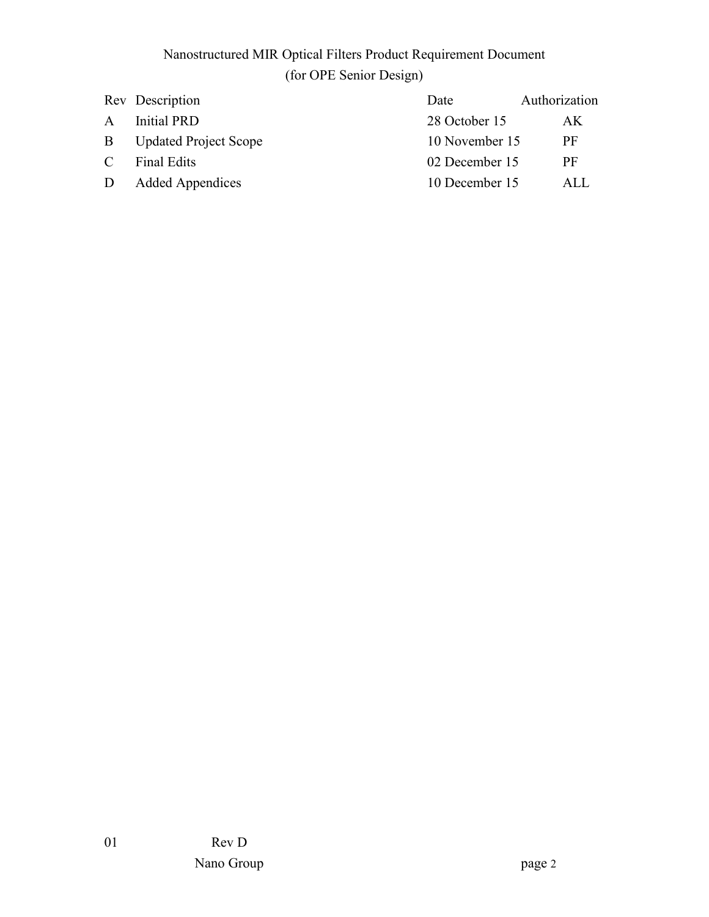|               | Rev Description              | Date           | Authorization |
|---------------|------------------------------|----------------|---------------|
| $\mathsf{A}$  | Initial PRD                  | 28 October 15  | AK.           |
| $\mathbf{B}$  | <b>Updated Project Scope</b> | 10 November 15 | PF            |
| $\mathcal{C}$ | Final Edits                  | 02 December 15 | PF            |
| D             | <b>Added Appendices</b>      | 10 December 15 | ALL.          |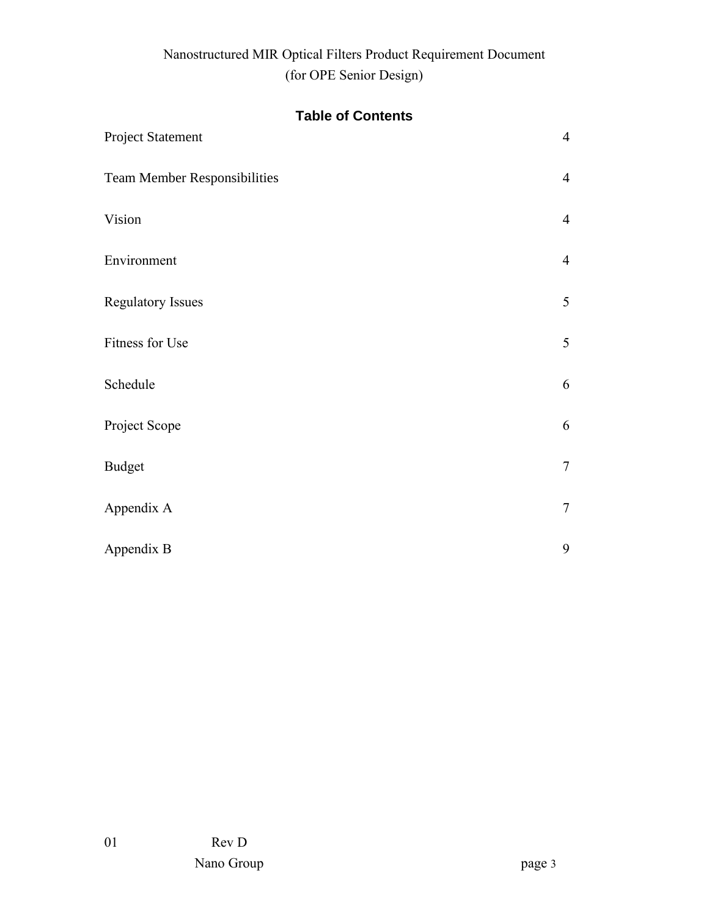### **Table of Contents**

| Project Statement                   | $\overline{4}$  |
|-------------------------------------|-----------------|
| <b>Team Member Responsibilities</b> | $\overline{4}$  |
| Vision                              | $\overline{4}$  |
| Environment                         | $\overline{4}$  |
| <b>Regulatory Issues</b>            | 5               |
| Fitness for Use                     | 5               |
| Schedule                            | 6               |
| Project Scope                       | 6               |
| <b>Budget</b>                       | $7\phantom{.0}$ |
| Appendix A                          | $\overline{7}$  |
| Appendix B                          | 9               |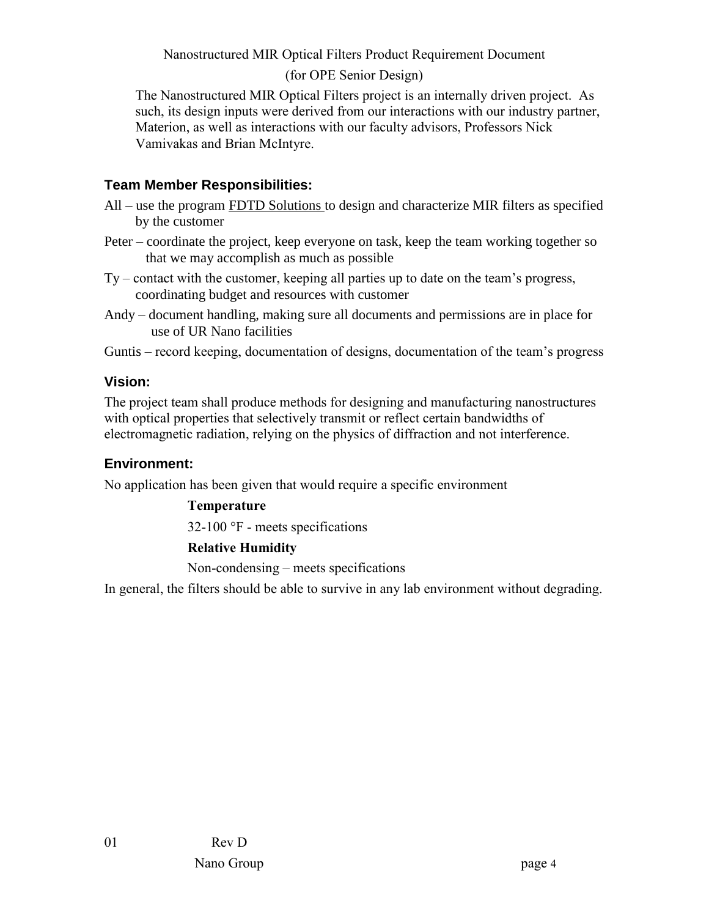Nanostructured MIR Optical Filters Product Requirement Document

### (for OPE Senior Design)

The Nanostructured MIR Optical Filters project is an internally driven project. As such, its design inputs were derived from our interactions with our industry partner, Materion, as well as interactions with our faculty advisors, Professors Nick Vamivakas and Brian McIntyre.

### **Team Member Responsibilities:**

- All use the program FDTD Solutions to design and characterize MIR filters as specified by the customer
- Peter coordinate the project, keep everyone on task, keep the team working together so that we may accomplish as much as possible
- Ty contact with the customer, keeping all parties up to date on the team's progress, coordinating budget and resources with customer
- Andy document handling, making sure all documents and permissions are in place for use of UR Nano facilities
- Guntis record keeping, documentation of designs, documentation of the team's progress

#### **Vision:**

The project team shall produce methods for designing and manufacturing nanostructures with optical properties that selectively transmit or reflect certain bandwidths of electromagnetic radiation, relying on the physics of diffraction and not interference.

#### **Environment:**

No application has been given that would require a specific environment

#### **Temperature**

 $32-100$  °F - meets specifications

### **Relative Humidity**

Non-condensing – meets specifications

In general, the filters should be able to survive in any lab environment without degrading.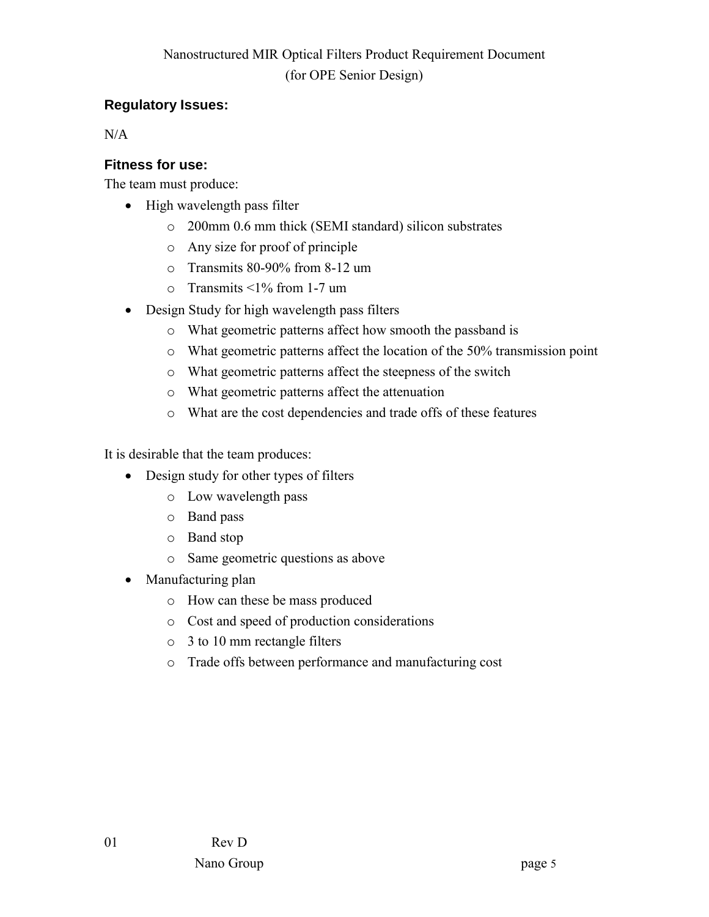### **Regulatory Issues:**

N/A

### **Fitness for use:**

The team must produce:

- High wavelength pass filter
	- o 200mm 0.6 mm thick (SEMI standard) silicon substrates
	- o Any size for proof of principle
	- o Transmits 80-90% from 8-12 um
	- o Transmits <1% from 1-7 um
- Design Study for high wavelength pass filters
	- o What geometric patterns affect how smooth the passband is
	- o What geometric patterns affect the location of the 50% transmission point
	- o What geometric patterns affect the steepness of the switch
	- o What geometric patterns affect the attenuation
	- o What are the cost dependencies and trade offs of these features

It is desirable that the team produces:

- Design study for other types of filters
	- o Low wavelength pass
	- o Band pass
	- o Band stop
	- o Same geometric questions as above
- Manufacturing plan
	- o How can these be mass produced
	- o Cost and speed of production considerations
	- o 3 to 10 mm rectangle filters
	- o Trade offs between performance and manufacturing cost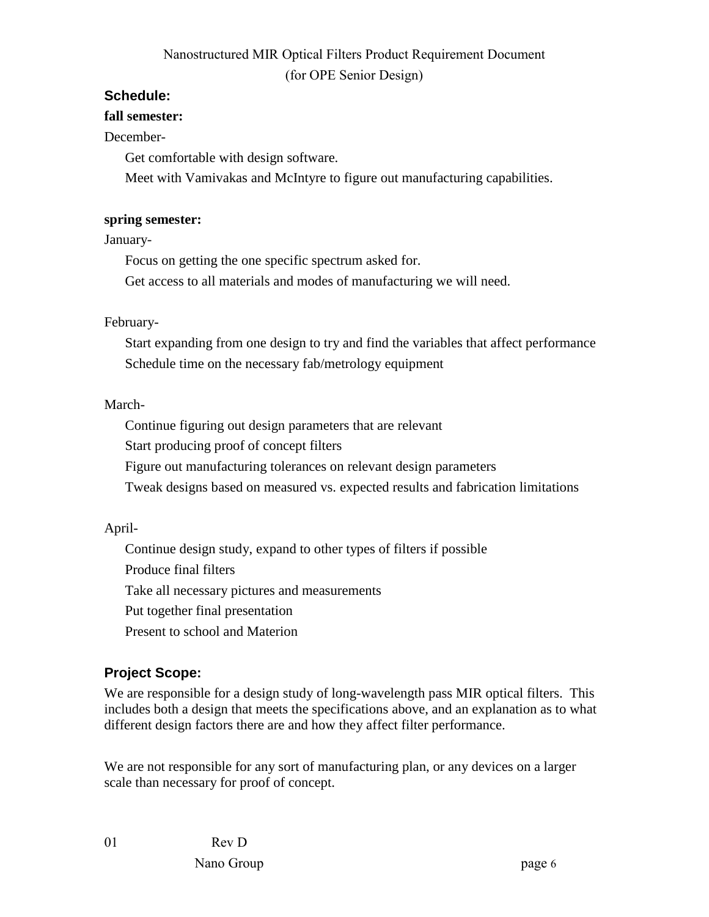#### **Schedule:**

#### **fall semester:**

December-

Get comfortable with design software.

Meet with Vamivakas and McIntyre to figure out manufacturing capabilities.

#### **spring semester:**

January-

Focus on getting the one specific spectrum asked for.

Get access to all materials and modes of manufacturing we will need.

#### February-

Start expanding from one design to try and find the variables that affect performance Schedule time on the necessary fab/metrology equipment

#### March-

Continue figuring out design parameters that are relevant

Start producing proof of concept filters

Figure out manufacturing tolerances on relevant design parameters

Tweak designs based on measured vs. expected results and fabrication limitations

### April-

Continue design study, expand to other types of filters if possible Produce final filters Take all necessary pictures and measurements Put together final presentation Present to school and Materion

### **Project Scope:**

We are responsible for a design study of long-wavelength pass MIR optical filters. This includes both a design that meets the specifications above, and an explanation as to what different design factors there are and how they affect filter performance.

We are not responsible for any sort of manufacturing plan, or any devices on a larger scale than necessary for proof of concept.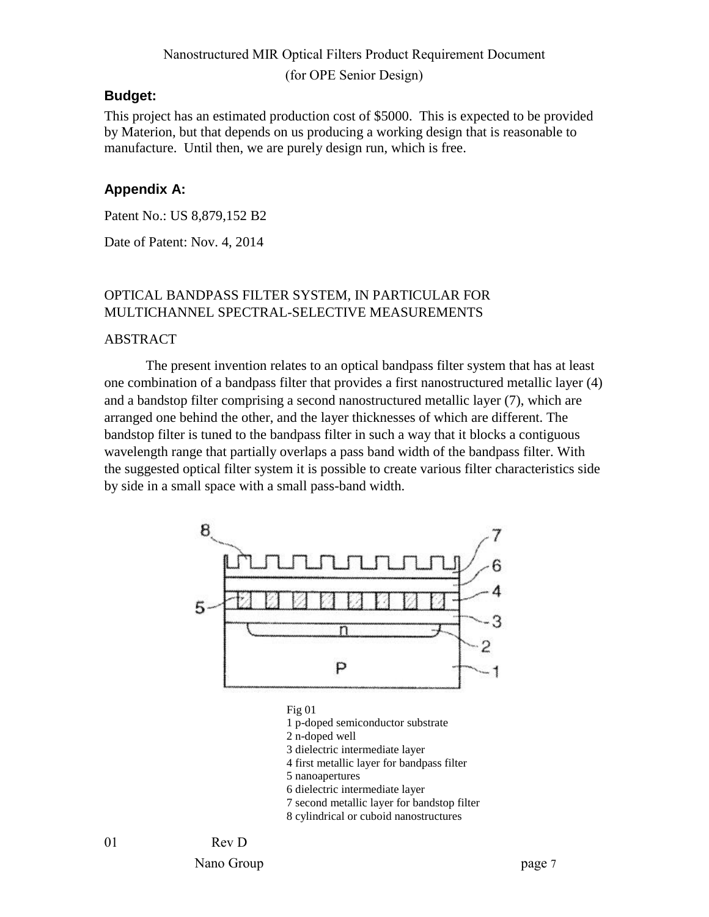#### **Budget:**

This project has an estimated production cost of \$5000. This is expected to be provided by Materion, but that depends on us producing a working design that is reasonable to manufacture. Until then, we are purely design run, which is free.

### **Appendix A:**

Patent No.: US 8,879,152 B2

Date of Patent: Nov. 4, 2014

#### OPTICAL BANDPASS FILTER SYSTEM, IN PARTICULAR FOR MULTICHANNEL SPECTRAL-SELECTIVE MEASUREMENTS

#### ABSTRACT

The present invention relates to an optical bandpass filter system that has at least one combination of a bandpass filter that provides a first nanostructured metallic layer (4) and a bandstop filter comprising a second nanostructured metallic layer (7), which are arranged one behind the other, and the layer thicknesses of which are different. The bandstop filter is tuned to the bandpass filter in such a way that it blocks a contiguous wavelength range that partially overlaps a pass band width of the bandpass filter. With the suggested optical filter system it is possible to create various filter characteristics side by side in a small space with a small pass-band width.



- Fig 01
- 1 p-doped semiconductor substrate
- 2 n-doped well
- 3 dielectric intermediate layer
- 4 first metallic layer for bandpass filter
- 5 nanoapertures
- 6 dielectric intermediate layer
- 7 second metallic layer for bandstop filter
- 8 cylindrical or cuboid nanostructures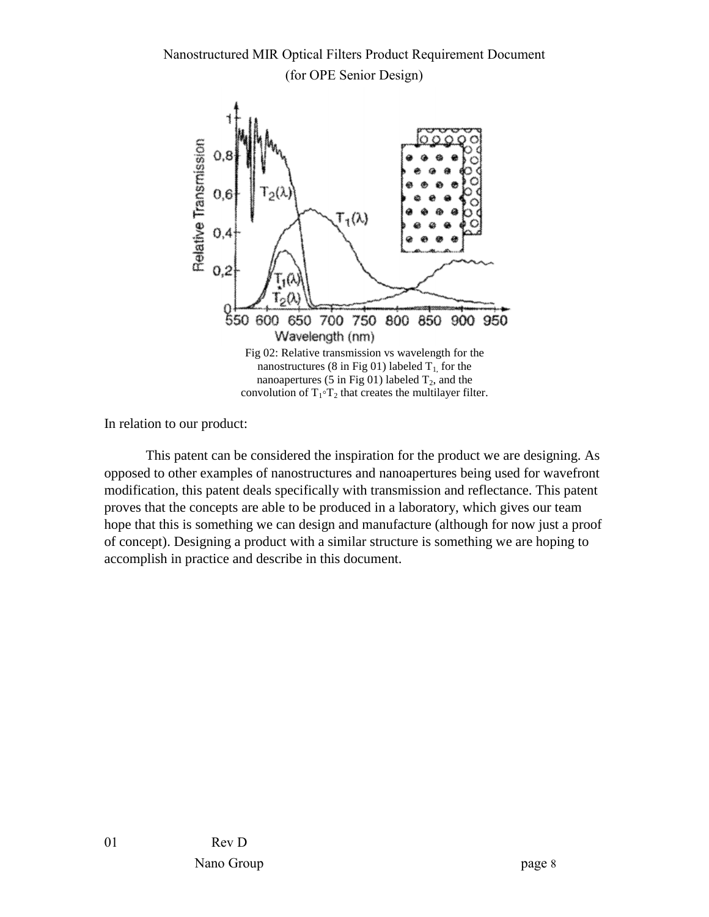Nanostructured MIR Optical Filters Product Requirement Document (for OPE Senior Design)



In relation to our product:

This patent can be considered the inspiration for the product we are designing. As opposed to other examples of nanostructures and nanoapertures being used for wavefront modification, this patent deals specifically with transmission and reflectance. This patent proves that the concepts are able to be produced in a laboratory, which gives our team hope that this is something we can design and manufacture (although for now just a proof of concept). Designing a product with a similar structure is something we are hoping to accomplish in practice and describe in this document.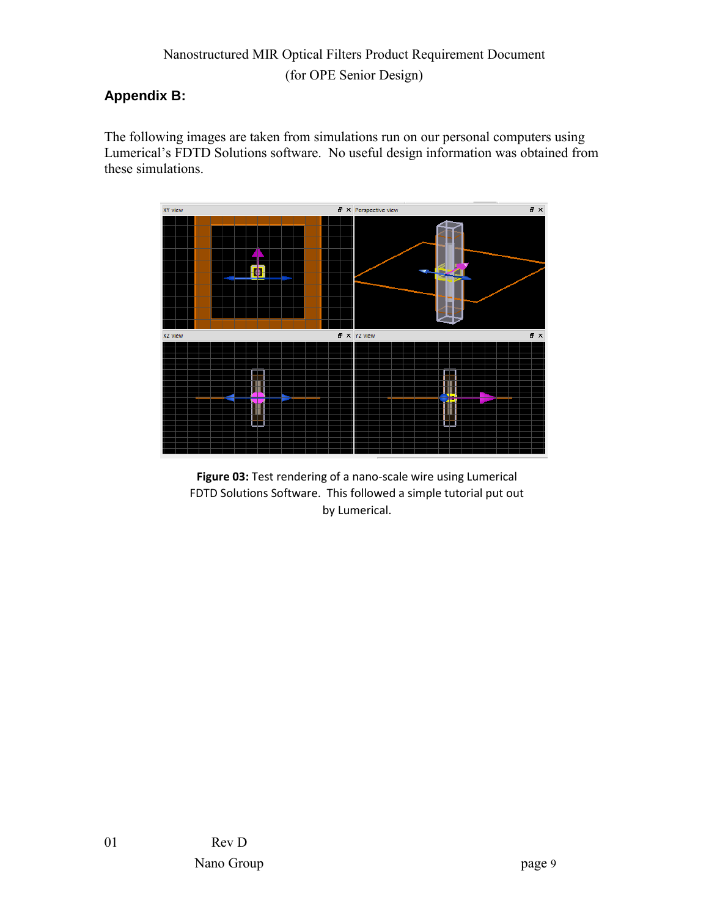### **Appendix B:**

The following images are taken from simulations run on our personal computers using Lumerical's FDTD Solutions software. No useful design information was obtained from these simulations.



**Figure 03:** Test rendering of a nano-scale wire using Lumerical FDTD Solutions Software. This followed a simple tutorial put out by Lumerical.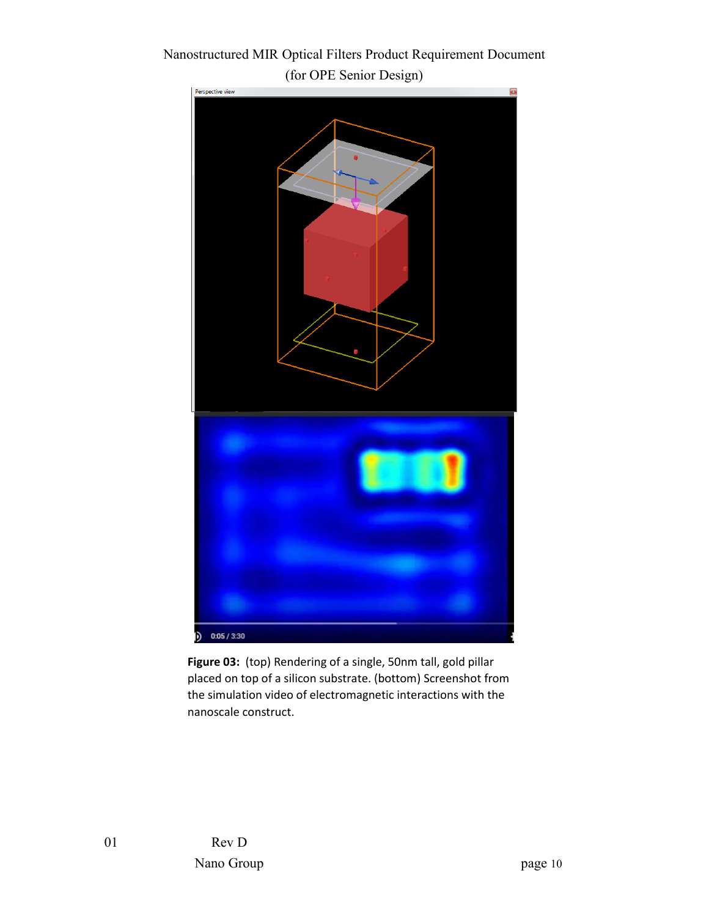Perspective view

Nanostructured MIR Optical Filters Product Requirement Document (for OPE Senior Design)

**Figure 03:** (top) Rendering of a single, 50nm tall, gold pillar placed on top of a silicon substrate. (bottom) Screenshot from the simulation video of electromagnetic interactions with the nanoscale construct.

 $0:05/3:30$ 

Đ